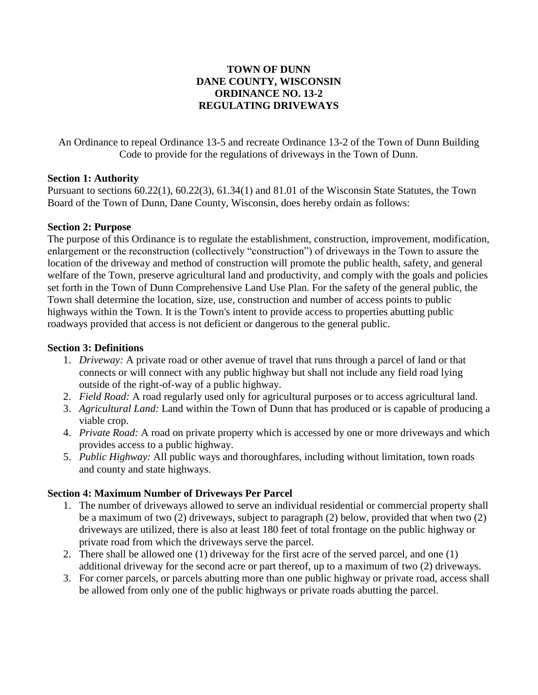# **TOWN OF DUNN DANE COUNTY, WISCONSIN ORDINANCE NO. 13-2 REGULATING DRIVEWAYS**

An Ordinance to repeal Ordinance 13-5 and recreate Ordinance 13-2 of the Town of Dunn Building Code to provide for the regulations of driveways in the Town of Dunn.

## **Section 1: Authority**

Pursuant to sections 60.22(1), 60.22(3), 61.34(1) and 81.01 of the Wisconsin State Statutes, the Town Board of the Town of Dunn, Dane County, Wisconsin, does hereby ordain as follows:

# **Section 2: Purpose**

The purpose of this Ordinance is to regulate the establishment, construction, improvement, modification, enlargement or the reconstruction (collectively "construction") of driveways in the Town to assure the location of the driveway and method of construction will promote the public health, safety, and general welfare of the Town, preserve agricultural land and productivity, and comply with the goals and policies set forth in the Town of Dunn Comprehensive Land Use Plan. For the safety of the general public, the Town shall determine the location, size, use, construction and number of access points to public highways within the Town. It is the Town's intent to provide access to properties abutting public roadways provided that access is not deficient or dangerous to the general public.

# **Section 3: Definitions**

- 1. *Driveway:* A private road or other avenue of travel that runs through a parcel of land or that connects or will connect with any public highway but shall not include any field road lying outside of the right-of-way of a public highway.
- 2. *Field Road:* A road regularly used only for agricultural purposes or to access agricultural land.
- 3. *Agricultural Land:* Land within the Town of Dunn that has produced or is capable of producing a viable crop.
- 4. *Private Road:* A road on private property which is accessed by one or more driveways and which provides access to a public highway.
- 5. *Public Highway:* All public ways and thoroughfares, including without limitation, town roads and county and state highways.

# **Section 4: Maximum Number of Driveways Per Parcel**

- 1. The number of driveways allowed to serve an individual residential or commercial property shall be a maximum of two (2) driveways, subject to paragraph (2) below, provided that when two (2) driveways are utilized, there is also at least 180 feet of total frontage on the public highway or private road from which the driveways serve the parcel.
- 2. There shall be allowed one (1) driveway for the first acre of the served parcel, and one (1) additional driveway for the second acre or part thereof, up to a maximum of two (2) driveways.
- 3. For corner parcels, or parcels abutting more than one public highway or private road, access shall be allowed from only one of the public highways or private roads abutting the parcel.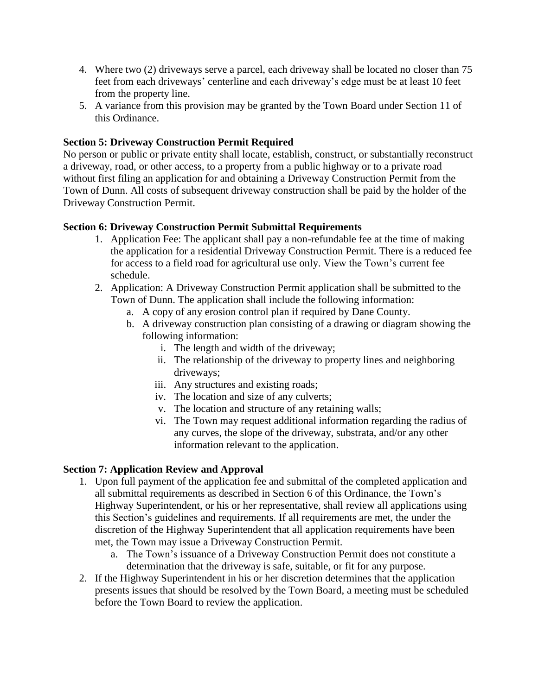- 4. Where two (2) driveways serve a parcel, each driveway shall be located no closer than 75 feet from each driveways' centerline and each driveway's edge must be at least 10 feet from the property line.
- 5. A variance from this provision may be granted by the Town Board under Section 11 of this Ordinance.

## **Section 5: Driveway Construction Permit Required**

No person or public or private entity shall locate, establish, construct, or substantially reconstruct a driveway, road, or other access, to a property from a public highway or to a private road without first filing an application for and obtaining a Driveway Construction Permit from the Town of Dunn. All costs of subsequent driveway construction shall be paid by the holder of the Driveway Construction Permit.

## **Section 6: Driveway Construction Permit Submittal Requirements**

- 1. Application Fee: The applicant shall pay a non-refundable fee at the time of making the application for a residential Driveway Construction Permit. There is a reduced fee for access to a field road for agricultural use only. View the Town's current fee schedule.
- 2. Application: A Driveway Construction Permit application shall be submitted to the Town of Dunn. The application shall include the following information:
	- a. A copy of any erosion control plan if required by Dane County.
	- b. A driveway construction plan consisting of a drawing or diagram showing the following information:
		- i. The length and width of the driveway;
		- ii. The relationship of the driveway to property lines and neighboring driveways;
		- iii. Any structures and existing roads;
		- iv. The location and size of any culverts;
		- v. The location and structure of any retaining walls;
		- vi. The Town may request additional information regarding the radius of any curves, the slope of the driveway, substrata, and/or any other information relevant to the application.

## **Section 7: Application Review and Approval**

- 1. Upon full payment of the application fee and submittal of the completed application and all submittal requirements as described in Section 6 of this Ordinance, the Town's Highway Superintendent, or his or her representative, shall review all applications using this Section's guidelines and requirements. If all requirements are met, the under the discretion of the Highway Superintendent that all application requirements have been met, the Town may issue a Driveway Construction Permit.
	- a. The Town's issuance of a Driveway Construction Permit does not constitute a determination that the driveway is safe, suitable, or fit for any purpose.
- 2. If the Highway Superintendent in his or her discretion determines that the application presents issues that should be resolved by the Town Board, a meeting must be scheduled before the Town Board to review the application.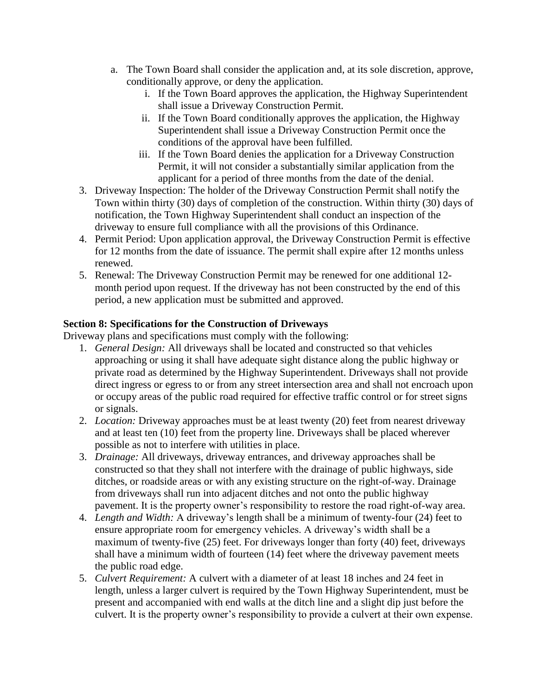- a. The Town Board shall consider the application and, at its sole discretion, approve, conditionally approve, or deny the application.
	- i. If the Town Board approves the application, the Highway Superintendent shall issue a Driveway Construction Permit.
	- ii. If the Town Board conditionally approves the application, the Highway Superintendent shall issue a Driveway Construction Permit once the conditions of the approval have been fulfilled.
	- iii. If the Town Board denies the application for a Driveway Construction Permit, it will not consider a substantially similar application from the applicant for a period of three months from the date of the denial.
- 3. Driveway Inspection: The holder of the Driveway Construction Permit shall notify the Town within thirty (30) days of completion of the construction. Within thirty (30) days of notification, the Town Highway Superintendent shall conduct an inspection of the driveway to ensure full compliance with all the provisions of this Ordinance.
- 4. Permit Period: Upon application approval, the Driveway Construction Permit is effective for 12 months from the date of issuance. The permit shall expire after 12 months unless renewed.
- 5. Renewal: The Driveway Construction Permit may be renewed for one additional 12 month period upon request. If the driveway has not been constructed by the end of this period, a new application must be submitted and approved.

# **Section 8: Specifications for the Construction of Driveways**

Driveway plans and specifications must comply with the following:

- 1. *General Design:* All driveways shall be located and constructed so that vehicles approaching or using it shall have adequate sight distance along the public highway or private road as determined by the Highway Superintendent. Driveways shall not provide direct ingress or egress to or from any street intersection area and shall not encroach upon or occupy areas of the public road required for effective traffic control or for street signs or signals.
- 2. *Location:* Driveway approaches must be at least twenty (20) feet from nearest driveway and at least ten (10) feet from the property line. Driveways shall be placed wherever possible as not to interfere with utilities in place.
- 3. *Drainage:* All driveways, driveway entrances, and driveway approaches shall be constructed so that they shall not interfere with the drainage of public highways, side ditches, or roadside areas or with any existing structure on the right-of-way. Drainage from driveways shall run into adjacent ditches and not onto the public highway pavement. It is the property owner's responsibility to restore the road right-of-way area.
- 4. *Length and Width:* A driveway's length shall be a minimum of twenty-four (24) feet to ensure appropriate room for emergency vehicles. A driveway's width shall be a maximum of twenty-five (25) feet. For driveways longer than forty (40) feet, driveways shall have a minimum width of fourteen (14) feet where the driveway pavement meets the public road edge.
- 5. *Culvert Requirement:* A culvert with a diameter of at least 18 inches and 24 feet in length, unless a larger culvert is required by the Town Highway Superintendent, must be present and accompanied with end walls at the ditch line and a slight dip just before the culvert. It is the property owner's responsibility to provide a culvert at their own expense.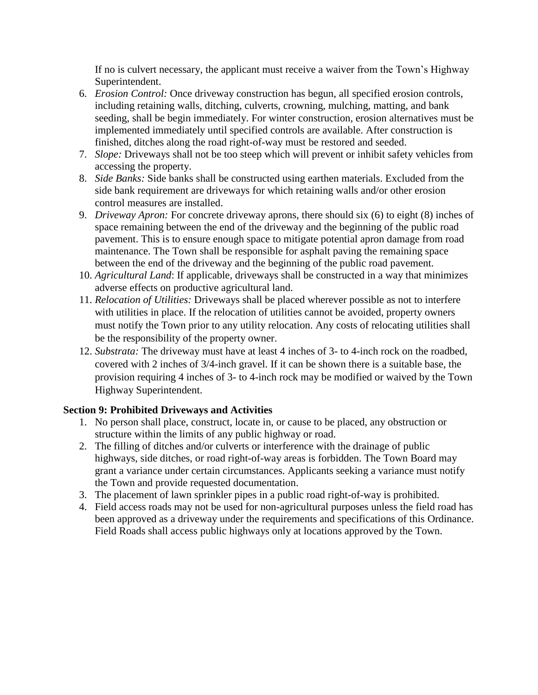If no is culvert necessary, the applicant must receive a waiver from the Town's Highway Superintendent.

- 6. *Erosion Control:* Once driveway construction has begun, all specified erosion controls, including retaining walls, ditching, culverts, crowning, mulching, matting, and bank seeding, shall be begin immediately. For winter construction, erosion alternatives must be implemented immediately until specified controls are available. After construction is finished, ditches along the road right-of-way must be restored and seeded.
- 7. *Slope:* Driveways shall not be too steep which will prevent or inhibit safety vehicles from accessing the property.
- 8. *Side Banks:* Side banks shall be constructed using earthen materials. Excluded from the side bank requirement are driveways for which retaining walls and/or other erosion control measures are installed.
- 9. *Driveway Apron:* For concrete driveway aprons, there should six (6) to eight (8) inches of space remaining between the end of the driveway and the beginning of the public road pavement. This is to ensure enough space to mitigate potential apron damage from road maintenance. The Town shall be responsible for asphalt paving the remaining space between the end of the driveway and the beginning of the public road pavement.
- 10. *Agricultural Land*: If applicable, driveways shall be constructed in a way that minimizes adverse effects on productive agricultural land.
- 11. *Relocation of Utilities:* Driveways shall be placed wherever possible as not to interfere with utilities in place. If the relocation of utilities cannot be avoided, property owners must notify the Town prior to any utility relocation. Any costs of relocating utilities shall be the responsibility of the property owner.
- 12. *Substrata:* The driveway must have at least 4 inches of 3- to 4-inch rock on the roadbed, covered with 2 inches of 3/4-inch gravel. If it can be shown there is a suitable base, the provision requiring 4 inches of 3- to 4-inch rock may be modified or waived by the Town Highway Superintendent.

# **Section 9: Prohibited Driveways and Activities**

- 1. No person shall place, construct, locate in, or cause to be placed, any obstruction or structure within the limits of any public highway or road.
- 2. The filling of ditches and/or culverts or interference with the drainage of public highways, side ditches, or road right-of-way areas is forbidden. The Town Board may grant a variance under certain circumstances. Applicants seeking a variance must notify the Town and provide requested documentation.
- 3. The placement of lawn sprinkler pipes in a public road right-of-way is prohibited.
- 4. Field access roads may not be used for non-agricultural purposes unless the field road has been approved as a driveway under the requirements and specifications of this Ordinance. Field Roads shall access public highways only at locations approved by the Town.